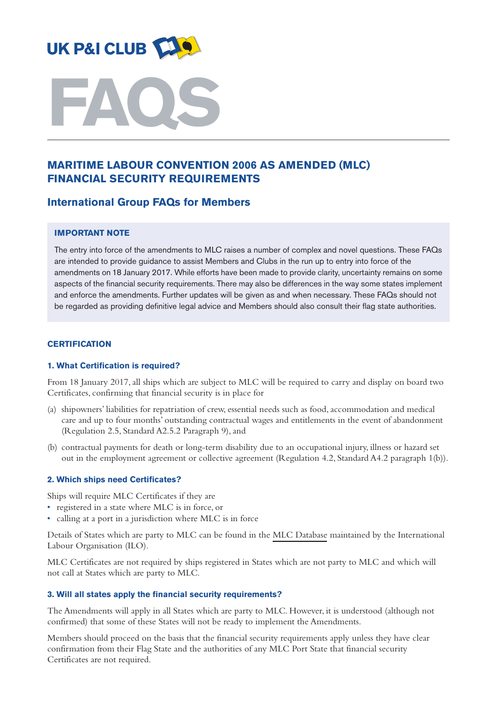



# **MARITIME LABOUR CONVENTION 2006 AS AMENDED (MLC) FINANCIAL SECURITY REQUIREMENTS**

# **International Group FAQs for Members**

# **IMPORTANT NOTE**

The entry into force of the amendments to MLC raises a number of complex and novel questions. These FAQs are intended to provide guidance to assist Members and Clubs in the run up to entry into force of the amendments on 18 January 2017. While efforts have been made to provide clarity, uncertainty remains on some aspects of the financial security requirements. There may also be differences in the way some states implement and enforce the amendments. Further updates will be given as and when necessary. These FAQs should not be regarded as providing definitive legal advice and Members should also consult their flag state authorities.

# **CERTIFICATION**

### **1. What Certification is required?**

From 18 January 2017, all ships which are subject to MLC will be required to carry and display on board two Certificates, confirming that financial security is in place for

- (a) shipowners' liabilities for repatriation of crew, essential needs such as food,accommodation and medical care and up to four months' outstanding contractual wages and entitlements in the event of abandonment (Regulation 2.5, Standard A2.5.2 Paragraph 9), and
- (b) contractual payments for death or long-term disability due to an occupational injury, illness or hazard set out in the employment agreement or collective agreement (Regulation 4.2, Standard A4.2 paragraph 1(b)).

### **2. Which ships need Certificates?**

Ships will require MLC Certificates if they are

- registered in a state where MLC is in force, or
- calling at a port in a jurisdiction where MLC is in force

Details of States which are party to MLC can be found in the MLC [Database](http://www.ilo.org/global/standards/maritime-labour-convention/database-ratification-implementation/lang--en/index.htm) maintained by the International Labour Organisation (ILO).

MLC Certificates are not required by ships registered in States which are not party to MLC and which will not call at States which are party to MLC.

# **3. Will all states apply the financial security requirements?**

The Amendments will apply in all States which are party to MLC. However, it is understood (although not confirmed) that some of these States will not be ready to implement the Amendments.

Members should proceed on the basis that the financial security requirements apply unless they have clear confirmation from their Flag State and the authorities of any MLC Port State that financial security Certificates are not required.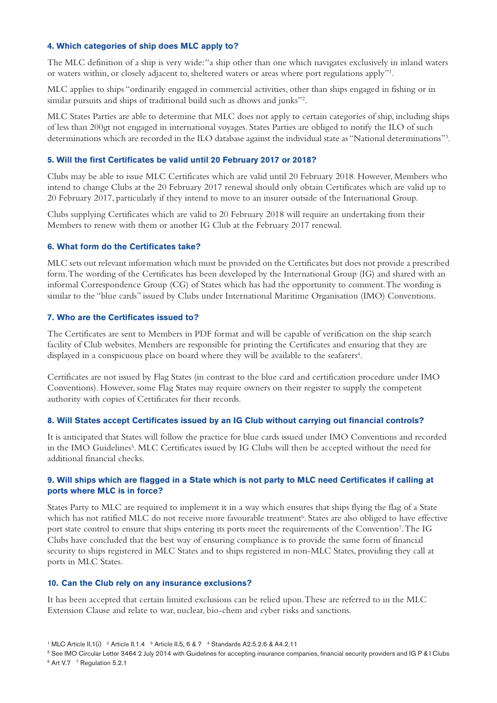## **4. Which categories of ship does MLC apply to?**

The MLC definition of a ship is very wide:"a ship other than one which navigates exclusively in inland waters or waters within, or closely adjacent to, sheltered waters or areas where port regulations apply"1.

MLC applies to ships "ordinarily engaged in commercial activities, other than ships engaged in fishing or in similar pursuits and ships of traditional build such as dhows and junks"2.

MLC States Parties are able to determine that MLC does not apply to certain categories of ship, including ships of less than 200gt not engaged in international voyages. States Parties are obliged to notify the ILO of such determinations which are recorded in the ILO database against the individual state as "National determinations"3.

# **5. Will the first Certificates be valid until 20 February 2017 or 2018?**

Clubs may be able to issue MLC Certificates which are valid until 20 February 2018. However, Members who intend to change Clubs at the 20 February 2017 renewal should only obtain Certificates which are valid up to 20 February 2017, particularly if they intend to move to an insurer outside of the International Group.

Clubs supplying Certificates which are valid to 20 February 2018 will require an undertaking from their Members to renew with them or another IG Club at the February 2017 renewal.

# **6. What form do the Certificates take?**

MLC sets out relevant information which must be provided on the Certificates but does not provide a prescribed form.The wording of the Certificates has been developed by the International Group (IG) and shared with an informal Correspondence Group (CG) of States which has had the opportunity to comment.The wording is similar to the "blue cards" issued by Clubs under International Maritime Organisation (IMO) Conventions.

# **7. Who are the Certificates issued to?**

The Certificates are sent to Members in PDF format and will be capable of verification on the ship search facility of Club websites. Members are responsible for printing the Certificates and ensuring that they are displayed in a conspicuous place on board where they will be available to the seafarers<sup>4</sup>.

Certificates are not issued by Flag States (in contrast to the blue card and certification procedure under IMO Conventions). However, some Flag States may require owners on their register to supply the competent authority with copies of Certificates for their records.

# **8. Will States accept Certificates issued by an IG Club without carrying out financial controls?**

It is anticipated that States will follow the practice for blue cards issued under IMO Conventions and recorded in the IMO Guidelines<sup>5</sup>. MLC Certificates issued by IG Clubs will then be accepted without the need for additional financial checks.

# 9. Will ships which are flagged in a State which is not party to MLC need Certificates if calling at **ports where MLC is in force?**

States Party to MLC are required to implement it in a way which ensures that ships flying the flag of a State which has not ratified MLC do not receive more favourable treatment<sup>6</sup>. States are also obliged to have effective port state control to ensure that ships entering its ports meet the requirements of the Convention7.The IG Clubs have concluded that the best way of ensuring compliance is to provide the same form of financial security to ships registered in MLC States and to ships registered in non-MLC States, providing they call at ports in MLC States.

### **10. Can the Club rely on any insurance exclusions?**

It has been accepted that certain limited exclusions can be relied upon.These are referred to in the MLC Extension Clause and relate to war, nuclear, bio-chem and cyber risks and sanctions.

<sup>5</sup> See IMO Circular Letter 3464 2 July 2014 with Guidelines for accepting insurance companies, financial security providers and IG P & I Clubs

 $6$  Art V.7  $7$  Regulation 5.2.1

<sup>&</sup>lt;sup>1</sup> MLC Article II.1(i) <sup>2</sup> Article II.1.4 <sup>3</sup> Article II.5, 6 & 7 <sup>4</sup> Standards A2.5.2.6 & A4.2.11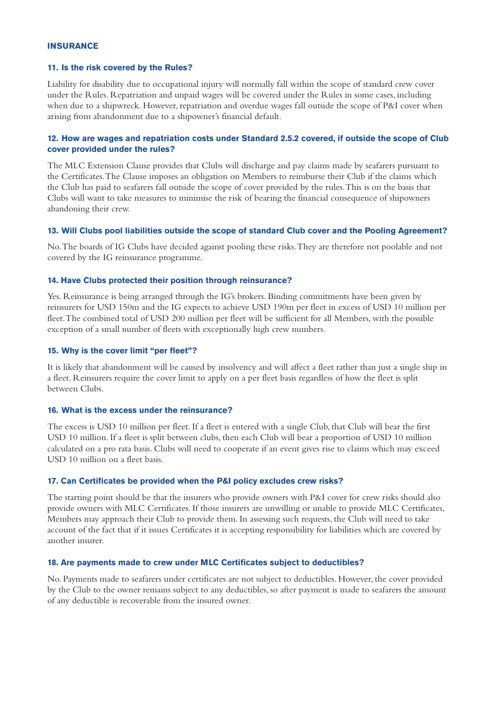#### **INSURANCE**

#### **11. Is the risk covered by the Rules?**

Liability for disability due to occupational injury will normally fall within the scope of standard crew cover under the Rules. Repatriation and unpaid wages will be covered under the Rules in some cases, including when due to a shipwreck. However, repatriation and overdue wages fall outside the scope of P&I cover when arising from abandonment due to a shipowner's financial default.

# **12. How are wages and repatriation costs under Standard 2.5.2 covered, if outside the scope of Club cover provided under the rules?**

The MLC Extension Clause provides that Clubs will discharge and pay claims made by seafarers pursuant to the Certificates.The Clause imposes an obligation on Members to reimburse their Club if the claims which the Club has paid to seafarers fall outside the scope of cover provided by the rules.This is on the basis that Clubs will want to take measures to minimise the risk of bearing the financial consequence of shipowners abandoning their crew.

#### **13. Will Clubs pool liabilities outside the scope of standard Club cover and the Pooling Agreement?**

No.The boards of IG Clubs have decided against pooling these risks.They are therefore not poolable and not covered by the IG reinsurance programme.

## **14. Have Clubs protected their position through reinsurance?**

Yes. Reinsurance is being arranged through the IG's brokers. Binding commitments have been given by reinsurers for USD 150m and the IG expects to achieve USD 190m per fleet in excess of USD 10 million per fleet.The combined total of USD 200 million per fleet will be sufficient for all Members, with the possible exception of a small number of fleets with exceptionally high crew numbers.

#### **15. Why is the cover limit "per fleet"?**

It is likely that abandonment will be caused by insolvency and will affect a fleet rather than just a single ship in a fleet. Reinsurers require the cover limit to apply on a per fleet basis regardless of how the fleet is split between Clubs.

#### **16. What is the excess under the reinsurance?**

The excess is USD 10 million per fleet. If a fleet is entered with a single Club, that Club will bear the first USD 10 million. If a fleet is split between clubs, then each Club will bear a proportion of USD 10 million calculated on a pro rata basis. Clubs will need to cooperate if an event gives rise to claims which may exceed USD 10 million on a fleet basis.

### **17. Can Certificates be provided when the P&I policy excludes crew risks?**

The starting point should be that the insurers who provide owners with P&I cover for crew risks should also provide owners with MLC Certificates. If those insurers are unwilling or unable to provide MLC Certificates, Members may approach their Club to provide them. In assessing such requests, the Club will need to take account of the fact that if it issues Certificates it is accepting responsibility for liabilities which are covered by another insurer.

#### **18. Are payments made to crew under MLC Certificates subject to deductibles?**

No. Payments made to seafarers under certificates are not subject to deductibles. However, the cover provided by the Club to the owner remains subject to any deductibles, so after payment is made to seafarers the amount of any deductible is recoverable from the insured owner.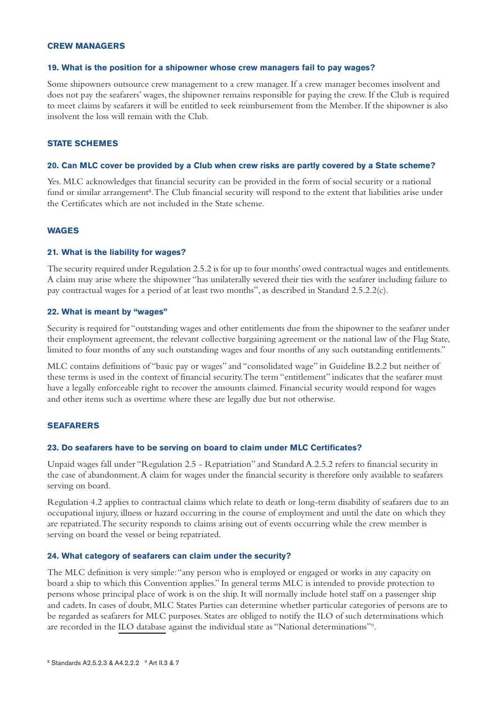#### **CREW MANAGERS**

#### **19. What is the position for a shipowner whose crew managers fail to pay wages?**

Some shipowners outsource crew management to a crew manager. If a crew manager becomes insolvent and does not pay the seafarers' wages, the shipowner remains responsible for paying the crew. If the Club is required to meet claims by seafarers it will be entitled to seek reimbursement from the Member. If the shipowner is also insolvent the loss will remain with the Club.

## **STATE SCHEMES**

#### 20. Can MLC cover be provided by a Club when crew risks are partly covered by a State scheme?

Yes. MLC acknowledges that financial security can be provided in the form of social security or a national fund or similar arrangement<sup>8</sup>. The Club financial security will respond to the extent that liabilities arise under the Certificates which are not included in the State scheme.

### **WAGES**

#### **21. What is the liability for wages?**

The security required under Regulation 2.5.2 is for up to four months' owed contractual wages and entitlements. A claim may arise where the shipowner "has unilaterally severed their ties with the seafarer including failure to pay contractual wages for a period of at least two months", as described in Standard 2.5.2.2(c).

#### **22. What is meant by "wages"**

Security is required for "outstanding wages and other entitlements due from the shipowner to the seafarer under their employment agreement, the relevant collective bargaining agreement or the national law of the Flag State, limited to four months of any such outstanding wages and four months of any such outstanding entitlements."

MLC contains definitions of "basic pay or wages" and "consolidated wage" in Guideline B.2.2 but neither of these terms is used in the context of financial security.The term "entitlement" indicates that the seafarer must have a legally enforceable right to recover the amounts claimed. Financial security would respond for wages and other items such as overtime where these are legally due but not otherwise.

## **SEAFARERS**

### **23. Do seafarers have to be serving on board to claim under MLC Certificates?**

Unpaid wages fall under "Regulation 2.5 - Repatriation" and Standard A.2.5.2 refers to financial security in the case of abandonment.A claim for wages under the financial security is therefore only available to seafarers serving on board.

Regulation 4.2 applies to contractual claims which relate to death or long-term disability of seafarers due to an occupational injury, illness or hazard occurring in the course of employment and until the date on which they are repatriated.The security responds to claims arising out of events occurring while the crew member is serving on board the vessel or being repatriated.

### **24. What category of seafarers can claim under the security?**

The MLC definition is very simple:"any person who is employed or engaged or works in any capacity on board a ship to which this Convention applies." In general terms MLC is intended to provide protection to persons whose principal place of work is on the ship. It will normally include hotel staff on a passenger ship and cadets. In cases of doubt, MLC States Parties can determine whether particular categories of persons are to be regarded as seafarers for MLC purposes. States are obliged to notify the ILO of such determinations which are recorded in the ILO [database](http://www.ilo.org/global/standards/maritime-labour-convention/database-ratification-implementation/lang--en/index.htm) against the individual state as "National determinations"9.